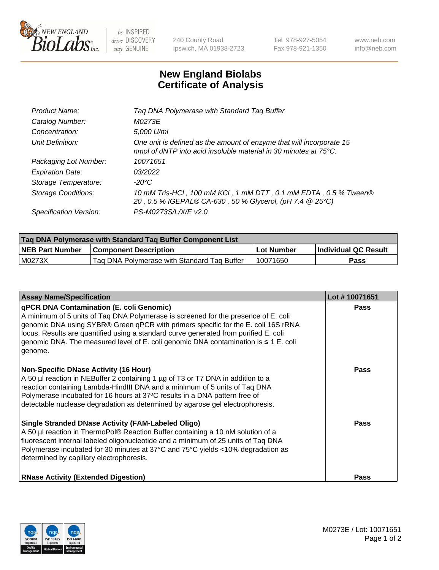

 $be$  INSPIRED drive DISCOVERY stay GENUINE

240 County Road Ipswich, MA 01938-2723 Tel 978-927-5054 Fax 978-921-1350 www.neb.com info@neb.com

## **New England Biolabs Certificate of Analysis**

| Product Name:              | Tag DNA Polymerase with Standard Tag Buffer                                                                                              |
|----------------------------|------------------------------------------------------------------------------------------------------------------------------------------|
| Catalog Number:            | M0273E                                                                                                                                   |
| Concentration:             | 5,000 U/ml                                                                                                                               |
| Unit Definition:           | One unit is defined as the amount of enzyme that will incorporate 15<br>nmol of dNTP into acid insoluble material in 30 minutes at 75°C. |
| Packaging Lot Number:      | 10071651                                                                                                                                 |
| <b>Expiration Date:</b>    | 03/2022                                                                                                                                  |
| Storage Temperature:       | $-20^{\circ}$ C                                                                                                                          |
| <b>Storage Conditions:</b> | 10 mM Tris-HCl, 100 mM KCl, 1 mM DTT, 0.1 mM EDTA, 0.5 % Tween®<br>20, 0.5 % IGEPAL® CA-630, 50 % Glycerol, (pH 7.4 @ 25°C)              |
| Specification Version:     | PS-M0273S/L/X/E v2.0                                                                                                                     |

| Tag DNA Polymerase with Standard Tag Buffer Component List |                                             |              |                      |  |
|------------------------------------------------------------|---------------------------------------------|--------------|----------------------|--|
| <b>NEB Part Number</b>                                     | <b>Component Description</b>                | l Lot Number | Individual QC Result |  |
| M0273X                                                     | Tag DNA Polymerase with Standard Tag Buffer | 10071650     | Pass                 |  |

| <b>Assay Name/Specification</b>                                                                                                                                                                                                                                                                                                                                                                                           | Lot #10071651 |
|---------------------------------------------------------------------------------------------------------------------------------------------------------------------------------------------------------------------------------------------------------------------------------------------------------------------------------------------------------------------------------------------------------------------------|---------------|
| <b>qPCR DNA Contamination (E. coli Genomic)</b><br>A minimum of 5 units of Taq DNA Polymerase is screened for the presence of E. coli<br>genomic DNA using SYBR® Green qPCR with primers specific for the E. coli 16S rRNA<br>locus. Results are quantified using a standard curve generated from purified E. coli<br>genomic DNA. The measured level of E. coli genomic DNA contamination is $\leq 1$ E. coli<br>genome. | <b>Pass</b>   |
| <b>Non-Specific DNase Activity (16 Hour)</b><br>A 50 µl reaction in NEBuffer 2 containing 1 µg of T3 or T7 DNA in addition to a<br>reaction containing Lambda-HindIII DNA and a minimum of 5 units of Taq DNA<br>Polymerase incubated for 16 hours at 37°C results in a DNA pattern free of<br>detectable nuclease degradation as determined by agarose gel electrophoresis.                                              | <b>Pass</b>   |
| <b>Single Stranded DNase Activity (FAM-Labeled Oligo)</b><br>A 50 µl reaction in ThermoPol® Reaction Buffer containing a 10 nM solution of a<br>fluorescent internal labeled oligonucleotide and a minimum of 25 units of Taq DNA<br>Polymerase incubated for 30 minutes at 37°C and 75°C yields <10% degradation as<br>determined by capillary electrophoresis.                                                          | <b>Pass</b>   |
| <b>RNase Activity (Extended Digestion)</b>                                                                                                                                                                                                                                                                                                                                                                                | Pass          |